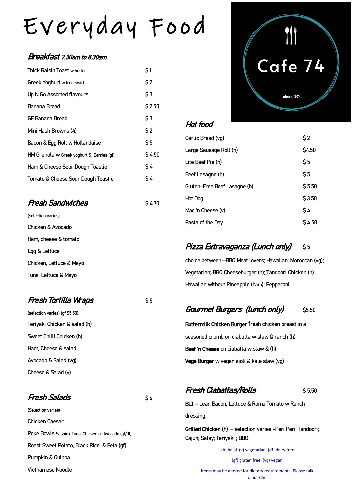## Everyday Food

#### Breakfast 7.30am to 8.30am

| Thick Raisin Toast w butter               | \$1    |
|-------------------------------------------|--------|
| Greek Yoghurt w fruit swirl               | \$2    |
| Up N Go Assorted flavours                 | \$3    |
| Banana Bread                              | \$2.50 |
| GF Banana Bread                           | \$3    |
| Mini Hash Browns (4)                      | \$2    |
| Bacon & Egg Roll w Hollandaise            | \$5    |
| HM Granola w Greek yoghurt & Berries (gf) | \$4.50 |
| Ham & Cheese Sour Dough Toastie           | \$4    |
| Tomato & Cheese Sour Dough Toastie        | \$4    |
|                                           |        |

#### **Fresh Sandwiches** \$ 4.70 (selection varies)

Chicken & Avocado Ham, cheese & tomato Egg & Lettuce Chicken, Lettuce & Mayo Tuna, Lettuce & Mayo

#### **Fresh Tortilla Wraps** \$ 5

(selection varies) (gf \$5.50) Teriyaki Chicken & salad (h) Sweet Chilli Chicken (h) Ham, Cheese & salad Avocado & Salad (vg) Cheese & Salad (v)

#### Fresh Salads **\$ 6**

(Selection varies) Chicken Caesar Poke Bowls Sashimi Tuna; Chicken or Avocado (gf/df) Roast Sweet Potato, Black Rice & Feta (gf) Pumpkin & Quinoa Vietnamese Noodle

# Cafe 74

since 1974

#### Hot food

| Garlic Bread (vg)            | \$2      |
|------------------------------|----------|
| Large Sausage Roll (h)       | \$4.50   |
| Lite Beef Pie (h)            | \$5      |
| Beef Lasagne (h)             | \$5      |
| Gluten-Free Beef Lasagne (h) | \$5.50   |
| Hot Dog                      | \$3.50   |
| Mac 'n Cheese (v)            | \$4      |
| Pasta of the Day             | $S$ 4.50 |

#### Pizza Extravaganza (Lunch only) \$5

choice between—BBQ Meat lovers; Hawaiian; Moroccan (vg); Vegetarian; BBQ Cheeseburger (h); Tandoori Chicken (h) Hawaiian without Pineapple (ham); Pepperoni

#### Gourmet Burgers (lunch only) \$5.50

Buttermilk Chicken Burger fresh chicken breast in a seasoned crumb on ciabatta w slaw & ranch (h) Beef 'n Cheese on ciabatta w slaw & (h) Vege Burger w vegan aioli & kale slaw (vg)

#### **Fresh Ciabattas/Rolls** \$ 5.50

BLT – Lean Bacon, Lettuce & Roma Tomato w Ranch dressing

Grilled Chicken (h) – selection varies -Peri Peri; Tandoori; Cajun; Satay; Teriyaki ; BBQ

> (h) halal (v) vegetarian (df) dairy free (gf) gluten free (vg) vegan

Items may be altered for dietary requirements. Please talk to our Chef